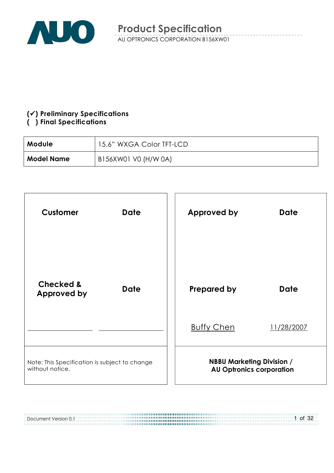

#### $(\checkmark)$  Preliminary Specifications

#### (!) Final Specifications

| Module »          | 15.6" WXGA Color TFT-LCD |
|-------------------|--------------------------|
| <b>Model Name</b> | B156XW01 V0 (H/W 0A)     |



| Document Version 0.1 | $1$ of 32 |
|----------------------|-----------|
|                      |           |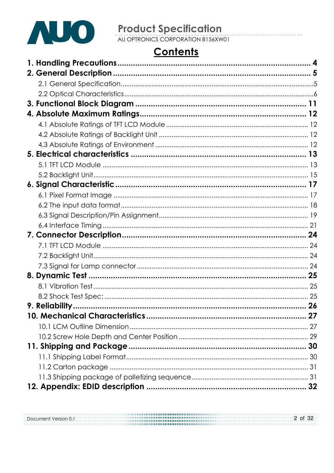

# **Product Specification**<br>AU OPTRONICS CORPORATION B156XW01

# **Contents**

Document Version 0.1 2 of 32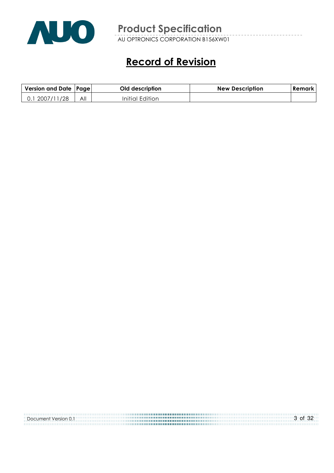

AU OPTRONICS CORPORATION B156XW01

# Record of Revision

| Version and Date   Page |     | Old description | <b>New Description</b> | Remark |
|-------------------------|-----|-----------------|------------------------|--------|
| 2007/11/28              | All | Initial Edition |                        |        |

| Document Version 0.1 | $3$ of $32$ |
|----------------------|-------------|
|                      |             |
|                      |             |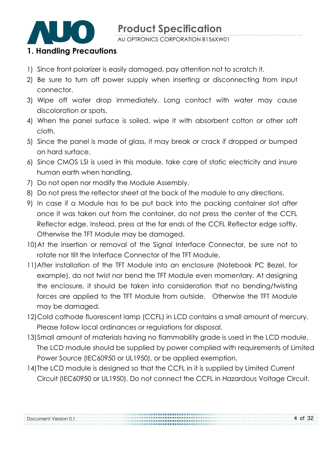

AU OPTRONICS CORPORATION B156XW01

#### 1. Handling Precautions

- 1) Since front polarizer is easily damaged, pay attention not to scratch it.
- 2) Be sure to turn off power supply when inserting or disconnecting from input connector.
- 3) Wipe off water drop immediately. Long contact with water may cause discoloration or spots.
- 4) When the panel surface is soiled, wipe it with absorbent cotton or other soft cloth.
- 5) Since the panel is made of glass, it may break or crack if dropped or bumped on hard surface.
- 6) Since CMOS LSI is used in this module, take care of static electricity and insure human earth when handling.
- 7) Do not open nor modify the Module Assembly.
- 8) Do not press the reflector sheet at the back of the module to any directions.
- 9) In case if a Module has to be put back into the packing container slot after once it was taken out from the container, do not press the center of the CCFL Reflector edge. Instead, press at the far ends of the CCFL Reflector edge softly. Otherwise the TFT Module may be damaged.
- 10)At the insertion or removal of the Signal Interface Connector, be sure not to rotate nor tilt the Interface Connector of the TFT Module.
- 11) After installation of the TFT Module into an enclosure (Notebook PC Bezel, for example), do not twist nor bend the TFT Module even momentary. At designing the enclosure, it should be taken into consideration that no bending/twisting forces are applied to the TFT Module from outside. Otherwise the TFT Module may be damaged.
- 12)Cold cathode fluorescent lamp (CCFL) in LCD contains a small amount of mercury. Please follow local ordinances or regulations for disposal.
- 13)Small amount of materials having no flammability grade is used in the LCD module. The LCD module should be supplied by power complied with requirements of Limited Power Source (IEC60950 or UL1950), or be applied exemption.
- 14)The LCD module is designed so that the CCFL in it is supplied by Limited Current Circuit (IEC60950 or UL1950). Do not connect the CCFL in Hazardous Voltage Circuit.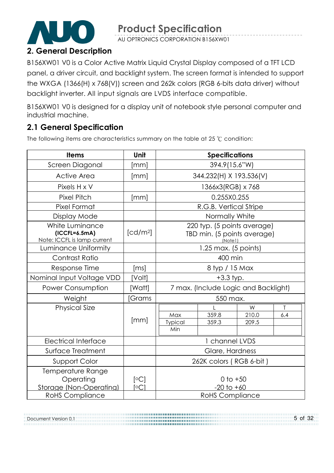

AU OPTRONICS CORPORATION B156XW01

# 2. General Description

B156XW01 V0 is a Color Active Matrix Liquid Crystal Display composed of a TFT LCD panel, a driver circuit, and backlight system. The screen format is intended to support the WXGA (1366(H) x 768(V)) screen and 262k colors (RGB 6-bits data driver) without backlight inverter. All input signals are LVDS interface compatible.

B156XW01 V0 is designed for a display unit of notebook style personal computer and industrial machine.

### 2.1 General Specification

Document Version 0.1

The following items are characteristics summary on the table at 25  $°C$  condition:

| <b>Items</b>                                                      | <b>Unit</b>          | <b>Specifications</b>                                                 |                                      |                     |          |  |  |
|-------------------------------------------------------------------|----------------------|-----------------------------------------------------------------------|--------------------------------------|---------------------|----------|--|--|
| Screen Diagonal                                                   | [mm]                 | 394.9(15.6"W)                                                         |                                      |                     |          |  |  |
| <b>Active Area</b>                                                | [mm]                 |                                                                       | 344.232(H) X 193.536(V)              |                     |          |  |  |
| Pixels H x V                                                      |                      |                                                                       | 1366x3(RGB) x 768                    |                     |          |  |  |
| <b>Pixel Pitch</b>                                                | [mm]                 |                                                                       | 0.255X0.255                          |                     |          |  |  |
| Pixel Format                                                      |                      |                                                                       | R.G.B. Vertical Stripe               |                     |          |  |  |
| Display Mode                                                      |                      |                                                                       | Normally White                       |                     |          |  |  |
| White Luminance<br>$(ICCFL=6.5mA)$<br>Note: ICCFL is lamp current | [cd/m <sup>2</sup> ] | 220 typ. (5 points average)<br>TBD min. (5 points average)<br>(Note1) |                                      |                     |          |  |  |
| Luminance Uniformity                                              |                      | 1.25 max. (5 points)                                                  |                                      |                     |          |  |  |
| Contrast Ratio                                                    |                      | 400 min                                                               |                                      |                     |          |  |  |
| Response Time                                                     | [ms]                 | 8 typ / 15 Max                                                        |                                      |                     |          |  |  |
| Nominal Input Voltage VDD                                         | [Volt]               | $+3.3$ typ.                                                           |                                      |                     |          |  |  |
| <b>Power Consumption</b>                                          | [Watt]               |                                                                       | 7 max. (Include Logic and Backlight) |                     |          |  |  |
| Weight                                                            | [Grams               |                                                                       | 550 max.                             |                     |          |  |  |
| <b>Physical Size</b>                                              | [mm]                 | Max<br>Typical<br>Min                                                 | 359.8<br>359.3                       | W<br>210.0<br>209.5 | Τ<br>6.4 |  |  |
| <b>Electrical Interface</b>                                       |                      | 1 channel LVDS                                                        |                                      |                     |          |  |  |
| Surface Treatment                                                 |                      | Glare, Hardness                                                       |                                      |                     |          |  |  |
| Support Color                                                     |                      | 262K colors (RGB 6-bit)                                               |                                      |                     |          |  |  |
| Temperature Range<br>Operating<br>Storage (Non-Operating)         | [°C]<br>[°C]         | 0 to $+50$<br>$-20$ to $+60$                                          |                                      |                     |          |  |  |
| <b>RoHS Compliance</b>                                            |                      | <b>RoHS Compliance</b>                                                |                                      |                     |          |  |  |

.................

5 of 32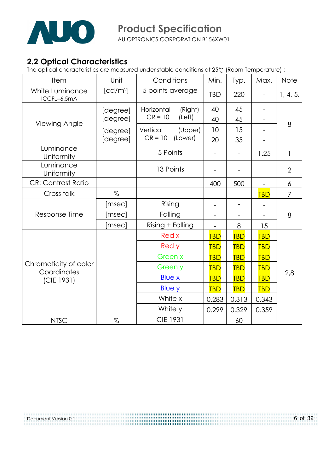

#### 2.2 Optical Characteristics

The optical characteristics are measured under stable conditions at 25 (Room Temperature) :

| Item                                               | Unit                 | Conditions            | Min.                     | Typ.       | Max.              | <b>Note</b>    |
|----------------------------------------------------|----------------------|-----------------------|--------------------------|------------|-------------------|----------------|
| White Luminance<br>ICCFL=6.5mA                     | [cd/m <sup>2</sup> ] | 5 points average      | <b>TBD</b>               | 220        |                   | 1, 4, 5.       |
|                                                    | [degree]             | Horizontal<br>(Right) | 40                       | 45         | $\qquad \qquad -$ |                |
| Viewing Angle                                      | [degree]             | $CR = 10$<br>(Left)   | 40                       | 45         |                   | 8              |
|                                                    | [degree]             | Vertical<br>(Upper)   | 10                       | 15         |                   |                |
|                                                    | [degree]             | $CR = 10$<br>(Lower)  | 20                       | 35         |                   |                |
| Luminance<br>Uniformity                            |                      | 5 Points              |                          |            | 1.25              | $\mathbf{1}$   |
| Luminance<br>Uniformity                            |                      | 13 Points             |                          |            |                   | $\overline{2}$ |
| <b>CR: Contrast Ratio</b>                          |                      |                       | 400                      | 500        | $\overline{a}$    | 6              |
| Cross talk                                         | $\%$                 |                       |                          |            | <b>TBD</b>        | 7              |
|                                                    | [msec]               | Rising                | $\qquad \qquad -$        |            |                   |                |
| Response Time                                      | [msec]               | Falling               | $\overline{\phantom{a}}$ |            |                   | 8              |
|                                                    | [msec]               | Rising + Falling      |                          | 8          | 15                |                |
|                                                    |                      | Red x                 | <b>TBD</b>               | <b>TBD</b> | <b>TBD</b>        |                |
|                                                    |                      | Red y                 | <b>TBD</b>               | <b>TBD</b> | <b>TBD</b>        |                |
| Chromaticity of color<br>Coordinates<br>(CIE 1931) |                      | Green x               | <b>TBD</b>               | <b>TBD</b> | <b>TBD</b>        |                |
|                                                    |                      | Green y               | <b>TBD</b>               | <b>TBD</b> | <b>TBD</b>        |                |
|                                                    |                      | <b>Blue x</b>         | <b>TBD</b>               | <b>TBD</b> | <b>TBD</b>        | 2,8            |
|                                                    |                      | <b>Blue y</b>         | <b>TBD</b>               | <b>TBD</b> | <b>TBD</b>        |                |
|                                                    |                      | White x               | 0.283                    | 0.313      | 0.343             |                |
|                                                    |                      | White y               | 0.299                    | 0.329      | 0.359             |                |
| <b>NTSC</b>                                        | $\%$                 | <b>CIE 1931</b>       |                          | 60         |                   |                |

Document Version 0.1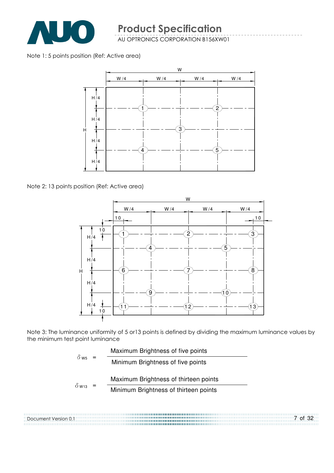

Note 1: 5 points position (Ref: Active area)



Note 2: 13 points position (Ref: Active area)

Document Version 0.1



Note 3: The luminance uniformity of 5 or13 points is defined by dividing the maximum luminance values by the minimum test point luminance

..................................



7 of 32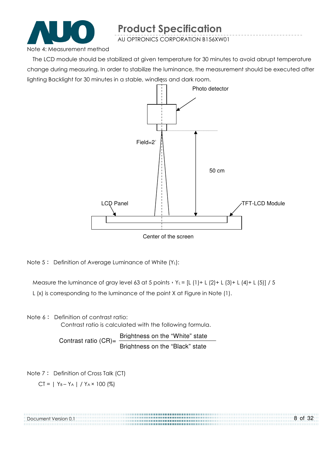

AU OPTRONICS CORPORATION B156XW01

Note 4: Measurement method

The LCD module should be stabilized at given temperature for 30 minutes to avoid abrupt temperature change during measuring. In order to stabilize the luminance, the measurement should be executed after lighting Backlight for 30 minutes in a stable, windless and dark room.



Note  $5$ : Definition of Average Luminance of White  $(Y_L)$ :

Measure the luminance of gray level 63 at 5 points  $Y_L = [L (1) + L (2) + L (3) + L (4) + L (5)] / 5$ L (x) is corresponding to the luminance of the point X at Figure in Note (1).

Note 6: Definition of contrast ratio:

Contrast ratio is calculated with the following formula.

Contrast ratio  $(CR)$ = Brightness on the "White" state Brightness on the "Black" state

Note 7: Definition of Cross Talk (CT)

 $CI = | Y_B - Y_A | / Y_A \times 100 (%)$ 

| Document Version 0.1 | 8 of 32 |
|----------------------|---------|
|                      |         |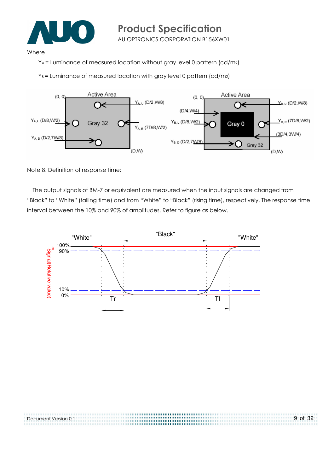

#### Where

YA = Luminance of measured location without gray level 0 pattern (cd/m2)

 $Y_B$  = Luminance of measured location with gray level 0 pattern (cd/m2)



Note 8: Definition of response time:

Document Version 0.1

The output signals of BM-7 or equivalent are measured when the input signals are changed from "Black" to "White" (falling time) and from "White" to "Black" (rising time), respectively. The response time interval between the 10% and 90% of amplitudes. Refer to figure as below.

...............................

9 of 32

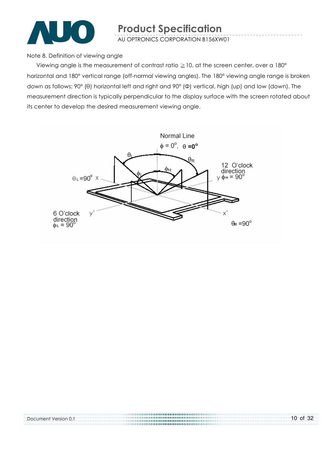

Note 8. Definition of viewing angle

Viewing angle is the measurement of contrast ratio  $\geq$  10, at the screen center, over a 180 $^{\circ}$ horizontal and 180° vertical range (off-normal viewing angles). The 180° viewing angle range is broken down as follows; 90° (θ) horizontal left and right and 90° (Φ) vertical, high (up) and low (down). The measurement direction is typically perpendicular to the display surface with the screen rotated about its center to develop the desired measurement viewing angle.



| Document Version 0.1 | $10$ of 32 |
|----------------------|------------|
|                      |            |
|                      |            |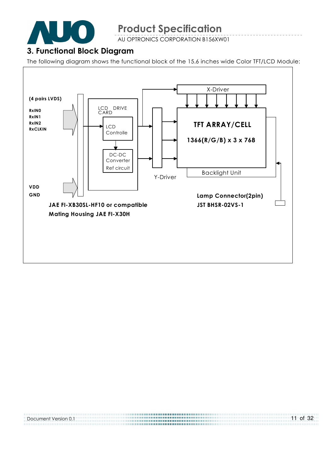

AU OPTRONICS CORPORATION B156XW01

#### 3. Functional Block Diagram

The following diagram shows the functional block of the 15.6 inches wide Color TFT/LCD Module:



| Document Version 0.1 | $11$ of 32 |
|----------------------|------------|
|                      |            |
|                      |            |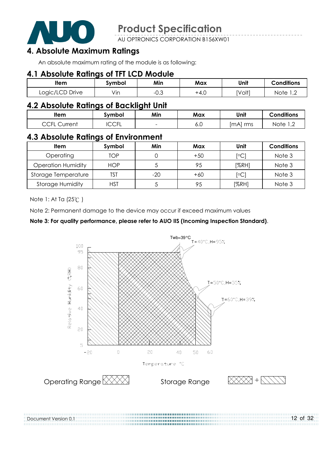

AU OPTRONICS CORPORATION B156XW01

### 4. Absolute Maximum Ratings

An absolute maximum rating of the module is as following:

#### 4.1 Absolute Ratings of TFT LCD Module

| <b>Item</b>     | symbol           | Min                   | Max  | Unit   | <b>Conditions</b>                       |
|-----------------|------------------|-----------------------|------|--------|-----------------------------------------|
| Logic/LCD Drive | $\cdot$ .<br>Vın | $\sim$ $\sim$<br>−∪.⊖ | +4.∪ | [Volt] | Note<br>$\overline{1}$ , $\overline{2}$ |

#### 4.2 Absolute Ratings of Backlight Unit

| ltem                                                            | Symbol       | Min                      | Max | Unit        | <b>Conditions</b>                       |
|-----------------------------------------------------------------|--------------|--------------------------|-----|-------------|-----------------------------------------|
| $\overline{C}$ $\overline{C}$ $\overline{C}$<br>Current<br>◡◡╷∟ | ี∩∩ย<br>◡◡◟◟ | $\overline{\phantom{0}}$ | o.u | rms<br>ImAI | Note<br>$\overline{1}$ , $\overline{2}$ |

#### 4.3 Absolute Ratings of Environment

| Item                      | Symbol     | Min   | Max   | Unit             | <b>Conditions</b> |
|---------------------------|------------|-------|-------|------------------|-------------------|
| Operating                 | TOP        |       | $+50$ | <sup>[o</sup> C] | Note 3            |
| <b>Operation Humidity</b> | <b>HOP</b> |       | 95    | [%RH]            | Note 3            |
| Storage Temperature       | TST        | $-20$ | $+60$ | $\mathsf{[°C]}$  | Note 3            |
| <b>Storage Humidity</b>   | HST        |       | 95    | [%RH]            | Note 3            |

Note 1: At Ta (25°C)

Document Version 0.1

Note 2: Permanent damage to the device may occur if exceed maximum values

#### Note 3: For quality performance, please refer to AUO IIS (Incoming Inspection Standard).



12 of 32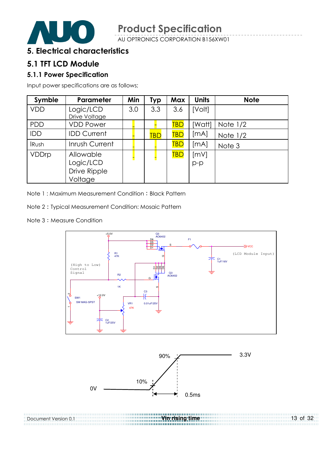

#### 5. Electrical characteristics

#### 5.1 TFT LCD Module

#### 5.1.1 Power Specification

Input power specifications are as follows;

| Symble       | <b>Parameter</b>                                  | Min | <b>Typ</b> | <b>Max</b> | <b>Units</b> | <b>Note</b> |
|--------------|---------------------------------------------------|-----|------------|------------|--------------|-------------|
| <b>VDD</b>   | Logic/LCD<br>Drive Voltage                        | 3.0 | 3.3        | 3.6        | [Volt]       |             |
| <b>PDD</b>   | <b>VDD Power</b>                                  |     |            | TBD        | [Watt]       | Note $1/2$  |
| IDD          | <b>IDD Current</b>                                |     | <b>TBD</b> | TBD        | [mA]         | Note $1/2$  |
| <b>IRush</b> | Inrush Current                                    |     |            | <b>TBD</b> | [mA]         | Note 3      |
| VDDrp        | Allowable<br>Logic/LCD<br>Drive Ripple<br>Voltage |     |            | <b>TBD</b> | [mV]<br>p-p  |             |

Note 1: Maximum Measurement Condition: Black Pattern

Note 2 Typical Measurement Condition: Mosaic Pattern

Note 3: Measure Condition



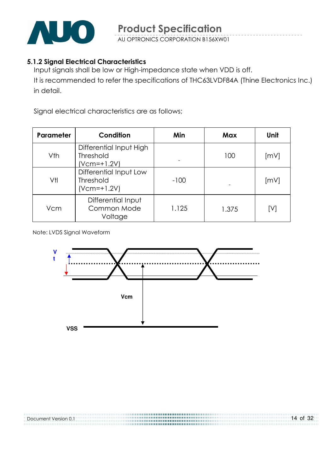

#### 5.1.2 Signal Electrical Characteristics

Input signals shall be low or High-impedance state when VDD is off. It is recommended to refer the specifications of THC63LVDF84A (Thine Electronics Inc.) in detail.

Signal electrical characteristics are as follows;

| Parameter | Condition                                                    | Min    | Max   | Unit |
|-----------|--------------------------------------------------------------|--------|-------|------|
| Vth       | Differential Input High<br><b>Threshold</b><br>$(Vcm=+1.2V)$ |        | 100   | [mV] |
| Vtl       | Differential Input Low<br><b>Threshold</b><br>$(Vcm=+1.2V)$  | $-100$ |       | [mV] |
| Vcm       | Differential Input<br>Common Mode<br>Voltage                 | 1.125  | 1.375 | [V]  |

Note: LVDS Signal Waveform



| Document Version 0.1 | 14 of 32 |
|----------------------|----------|
|                      |          |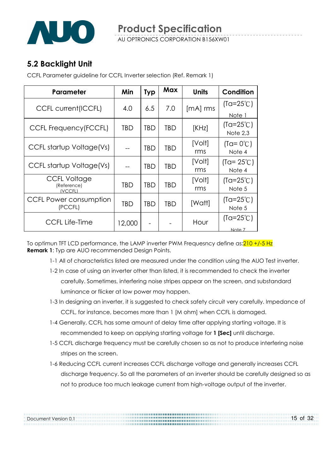

### 5.2 Backlight Unit

Document Version 0.1

CCFL Parameter guideline for CCFL Inverter selection (Ref. Remark 1)

| Parameter                                     | Min    | <b>Typ</b> | Max | <b>Units</b>  | Condition                      |
|-----------------------------------------------|--------|------------|-----|---------------|--------------------------------|
| <b>CCFL current(ICCFL)</b>                    | 4.0    | 6.5        | 7.0 | $[mA]$ rms    | $(Ta=25^{\circ}C)$             |
|                                               |        |            |     |               | Note 1                         |
| CCFL Frequency (FCCFL)                        | TBD    | <b>TBD</b> | TBD | [KHz]         | $(Ta=25^{\circ}C)$<br>Note 2,3 |
| CCFL startup Voltage(Vs)                      |        | <b>TBD</b> | TBD | [Volt]<br>rms | $(Ta = 0^{\circ}C)$<br>Note 4  |
| CCFL startup Voltage(Vs)                      |        | TBD        | TBD | [Volt]<br>rms | $(Ta = 25^{\circ}C)$<br>Note 4 |
| <b>CCFL Voltage</b><br>(Reference)<br>(VCCFL) | TBD    | <b>TBD</b> | TBD | [Volt]<br>rms | $(Ta=25^{\circ}C)$<br>Note 5   |
| CCFL Power consumption<br>(PCCFL)             | TBD    | <b>TBD</b> | TBD | [Watt]        | $(Ta=25^{\circ}C)$<br>Note 5   |
| <b>CCFL Life-Time</b>                         | 12,000 |            |     | Hour          | $(Ta=25^{\circ}C)$<br>Note 7   |

To optimun TFT LCD performance, the LAMP inverter PWM Frequesncy define as: 210 +/-5 Hz **Remark 1:** Typ are AUO recommended Design Points.

- 1-1 All of characteristics listed are measured under the condition using the AUO Test inverter.
- 1-2 In case of using an inverter other than listed, it is recommended to check the inverter carefully. Sometimes, interfering noise stripes appear on the screen, and substandard luminance or flicker at low power may happen.
- 1-3 In designing an inverter, it is suggested to check safety circuit very carefully. Impedance of CCFL, for instance, becomes more than 1 [M ohm] when CCFL is damaged.
- 1-4 Generally, CCFL has some amount of delay time after applying starting voltage. It is recommended to keep on applying starting voltage for 1 [Sec] until discharge.

- 1-5 CCFL discharge frequency must be carefully chosen so as not to produce interfering noise stripes on the screen.
- 1-6 Reducing CCFL current increases CCFL discharge voltage and generally increases CCFL discharge frequency. So all the parameters of an inverter should be carefully designed so as not to produce too much leakage current from high-voltage output of the inverter.

15 of 32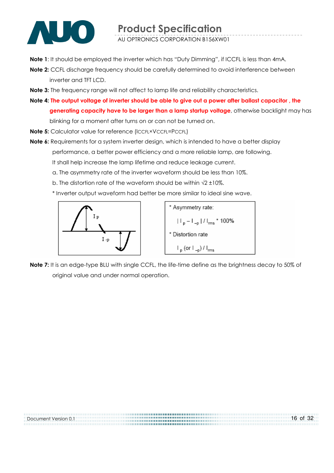

Note 1: It should be employed the inverter which has "Duty Dimming", if ICCFL is less than 4mA.

- Note 2: CCFL discharge frequency should be carefully determined to avoid interference between inverter and TFT LCD.
- Note 3: The frequency range will not affect to lamp life and reliability characteristics.
- Note 4: The output voltage of inverter should be able to give out a power after ballast capacitor , the generating capacity have to be larger than a lamp startup voltage, otherwise backlight may has blinking for a moment after turns on or can not be turned on.
- Note 5: Calculator value for reference (ICCFL×VCCFL=PCCFL)
- Note 6: Requirements for a system inverter design, which is intended to have a better display performance, a better power efficiency and a more reliable lamp, are following. It shall help increase the lamp lifetime and reduce leakage current.
	- a. The asymmetry rate of the inverter waveform should be less than 10%.
	- b. The distortion rate of the waveform should be within  $\sqrt{2} \pm 10\%$ .
	- \* Inverter output waveform had better be more similar to ideal sine wave.



Note 7: It is an edge-type BLU with single CCFL, the life-time define as the brightness decay to 50% of original value and under normal operation.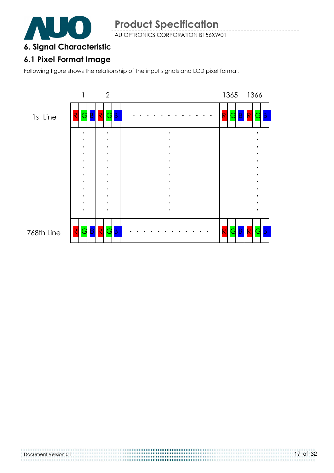

#### 6. Signal Characteristic

# 6.1 Pixel Format Image

Following figure shows the relationship of the input signals and LCD pixel format.



Document Version 0.1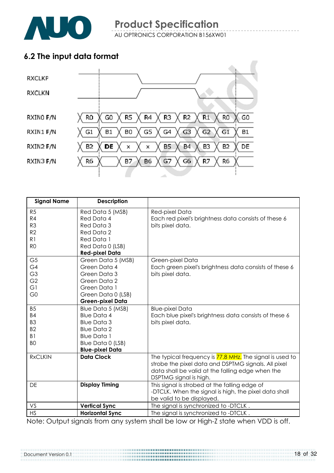

### 6.2 The input data format



| <b>Signal Name</b> | <b>Description</b>      |                                                          |
|--------------------|-------------------------|----------------------------------------------------------|
| R <sub>5</sub>     | Red Data 5 (MSB)        | Red-pixel Data                                           |
| R4                 | Red Data 4              | Each red pixel's brightness data consists of these 6     |
| R <sub>3</sub>     | Red Data 3              | bits pixel data.                                         |
| R <sub>2</sub>     | Red Data 2              |                                                          |
| R1                 | Red Data 1              |                                                          |
| R <sub>O</sub>     | Red Data 0 (LSB)        |                                                          |
|                    | <b>Red-pixel Data</b>   |                                                          |
| G <sub>5</sub>     | Green Data 5 (MSB)      | Green-pixel Data                                         |
| G4                 | Green Data 4            | Each green pixel's brightness data consists of these 6   |
| G <sub>3</sub>     | Green Data 3            | bits pixel data.                                         |
| G <sub>2</sub>     | Green Data 2            |                                                          |
| G1                 | Green Data 1            |                                                          |
| G <sub>0</sub>     | Green Data 0 (LSB)      |                                                          |
|                    | <b>Green-pixel Data</b> |                                                          |
| <b>B5</b>          | Blue Data 5 (MSB)       | <b>Blue-pixel Data</b>                                   |
| <b>B4</b>          | <b>Blue Data 4</b>      | Each blue pixel's brightness data consists of these 6    |
| B <sub>3</sub>     | <b>Blue Data 3</b>      | bits pixel data.                                         |
| B <sub>2</sub>     | <b>Blue Data 2</b>      |                                                          |
| B <sub>1</sub>     | <b>Blue Data 1</b>      |                                                          |
| B <sub>O</sub>     | Blue Data 0 (LSB)       |                                                          |
|                    | <b>Blue-pixel Data</b>  |                                                          |
| <b>RxCLKIN</b>     | <b>Data Clock</b>       | The typical frequency is 77.8 MHz. The signal is used to |
|                    |                         | strobe the pixel data and DSPTMG signals. All pixel      |
|                    |                         | data shall be valid at the falling edge when the         |
|                    |                         | DSPTMG signal is high.                                   |
| DE                 | <b>Display Timing</b>   | This signal is strobed at the falling edge of            |
|                    |                         | -DTCLK. When the signal is high, the pixel data shall    |
|                    |                         | be valid to be displayed.                                |
| VS                 | <b>Vertical Sync</b>    | The signal is synchronized to -DTCLK.                    |
| <b>HS</b>          | <b>Horizontal Sync</b>  | The signal is synchronized to -DTCLK.                    |

Note: Output signals from any system shall be low or High-Z state when VDD is off.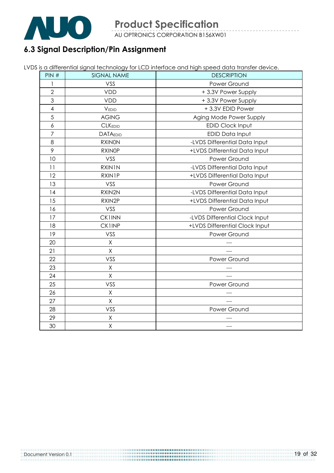

# 6.3 Signal Description/Pin Assignment

|  | LVDS is a differential signal technology for LCD interface and high speed data transfer device. |
|--|-------------------------------------------------------------------------------------------------|
|  |                                                                                                 |
|  |                                                                                                 |

| PIN#           | <b>SIGNAL NAME</b> | <b>DESCRIPTION</b>             |
|----------------|--------------------|--------------------------------|
|                | VSS                | Power Ground                   |
| $\overline{2}$ | <b>VDD</b>         | +3.3V Power Supply             |
| 3              | <b>VDD</b>         | +3.3V Power Supply             |
| $\overline{4}$ | VEDID              | +3.3V EDID Power               |
| 5              | <b>AGING</b>       | Aging Mode Power Supply        |
| $\delta$       | <b>CLKEDID</b>     | EDID Clock Input               |
| $\overline{7}$ | <b>DATAEDID</b>    | EDID Data Input                |
| 8              | <b>RXINON</b>      | -LVDS Differential Data Input  |
| 9              | <b>RXINOP</b>      | +LVDS Differential Data Input  |
| 10             | VSS                | Power Ground                   |
| 11             | RXIN1N             | -LVDS Differential Data Input  |
| 12             | <b>RXIN1P</b>      | +LVDS Differential Data Input  |
| 13             | VSS                | Power Ground                   |
| 14             | RXIN2N             | -LVDS Differential Data Input  |
| 15             | RXIN2P             | +LVDS Differential Data Input  |
| 16             | VSS                | Power Ground                   |
| 17             | <b>CK1INN</b>      | -LVDS Differential Clock Input |
| 18             | <b>CK1INP</b>      | +LVDS Differential Clock Input |
| 19             | VSS                | Power Ground                   |
| 20             | Χ                  |                                |
| 21             | Χ                  |                                |
| 22             | VSS                | Power Ground                   |
| 23             | Χ                  |                                |
| 24             | Χ                  |                                |
| 25             | VSS                | Power Ground                   |
| 26             | Χ                  |                                |
| 27             | Χ                  |                                |
| 28             | VSS                | Power Ground                   |
| 29             | Χ                  |                                |
| 30             | $\overline{X}$     | ---                            |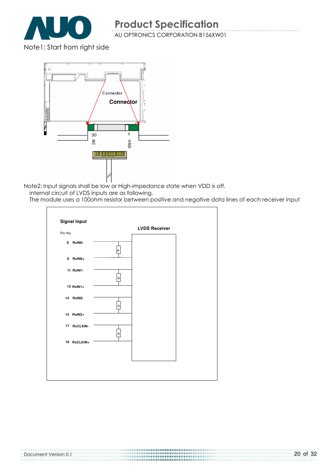

Note1: Start from right side



Note2: Input signals shall be low or High-impedance state when VDD is off.

internal circuit of LVDS inputs are as following.

The module uses a 100ohm resistor between positive and negative data lines of each receiver input

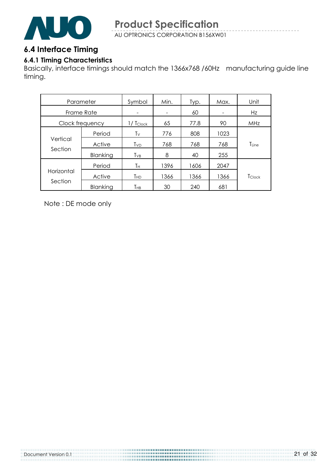

#### 6.4 Interface Timing

#### 6.4.1 Timing Characteristics

Basically, interface timings should match the 1366x768 /60Hz manufacturing guide line timing.

| Parameter  |                 | Symbol      | Min. | Typ. | Max. | Unit              |
|------------|-----------------|-------------|------|------|------|-------------------|
| Frame Rate |                 |             |      | 60   |      | Hz                |
|            | Clock frequency | $1/$ Tclock | 65   | 77.8 | 90   | MHz               |
|            | Period          | Tν          | 776  | 808  | 1023 |                   |
| Vertical   | Active          | Tvd         | 768  | 768  | 768  | T <sub>Line</sub> |
| Section    | Blanking        | $T_{VB}$    | 8    | 40   | 255  |                   |
|            | Period          | Τн          | 1396 | 1606 | 2047 |                   |
| Horizontal | Active          | THD         | 1366 | 1366 | 1366 | <b>T</b> Clock    |
| Section    | Blanking        | Тнв         | 30   | 240  | 681  |                   |

Note : DE mode only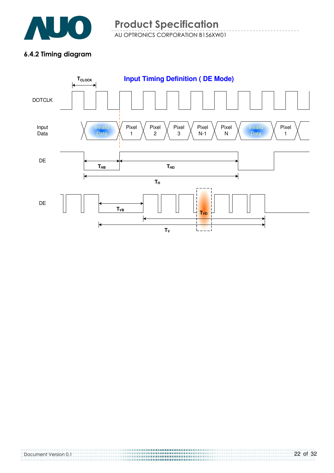

#### 6.4.2 Timing diagram

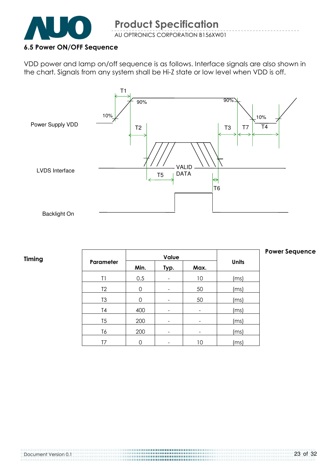

#### 6.5 Power ON/OFF Sequence

VDD power and lamp on/off sequence is as follows. Interface signals are also shown in the chart. Signals from any system shall be Hi-Z state or low level when VDD is off.



#### Timing

|                |      | Value |    |              |  |
|----------------|------|-------|----|--------------|--|
| Parameter      | Min. | Typ.  |    | <b>Units</b> |  |
| T1             | 0.5  |       | 10 | (ms)         |  |
| T <sub>2</sub> | 0    |       | 50 | (ms)         |  |
| T <sub>3</sub> | O    |       | 50 | (ms)         |  |
| T4             | 400  |       |    | (ms)         |  |
| T <sub>5</sub> | 200  |       |    | (ms)         |  |
| T6             | 200  |       |    | (ms)         |  |
|                |      |       | 10 | ms]          |  |

#### Power Sequence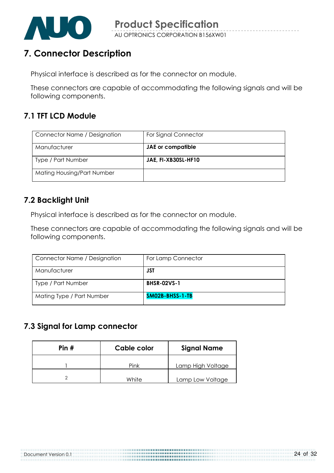

# 7. Connector Description

Physical interface is described as for the connector on module.

These connectors are capable of accommodating the following signals and will be following components.

### 7.1 TFT LCD Module

| Connector Name / Designation | For Signal Connector |
|------------------------------|----------------------|
| Manufacturer                 | JAE or compatible    |
| Type / Part Number           | JAE, FI-XB30SL-HF10  |
| Mating Housing/Part Number   |                      |

### 7.2 Backlight Unit

Physical interface is described as for the connector on module.

These connectors are capable of accommodating the following signals and will be following components.

| Connector Name / Designation | For Lamp Connector |
|------------------------------|--------------------|
| Manufacturer                 | JST                |
| Type / Part Number           | <b>BHSR-02VS-1</b> |
| Mating Type / Part Number    | SM02B-BHSS-1-TB    |

### 7.3 Signal for Lamp connector

| Pin# | Cable color | <b>Signal Name</b> |
|------|-------------|--------------------|
|      | Pink        | Lamp High Voltage  |
|      | White       | Lamp Low Voltage   |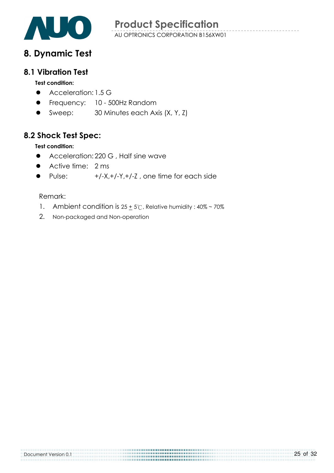

# 8. Dynamic Test

#### 8.1 Vibration Test

#### Test condition:

- $\bullet$  Acceleration: 1.5 G
- **•** Frequency: 10 500Hz Random
- Sweep: 30 Minutes each Axis (X, Y, Z)

### 8.2 Shock Test Spec:

#### Test condition:

- Acceleration: 220 G, Half sine wave
- Active time: 2 ms
- Pulse:  $+/-X.+/-Y.+/-Z$ , one time for each side

#### Remark:

1. Ambient condition is  $25 + 5^\circ$ C, Relative humidity:  $40\% \sim 70\%$ 

2. Non-packaged and Non-operation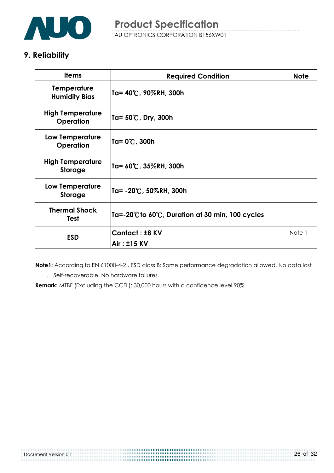

# 9. Reliability

| <b>Items</b>                               | <b>Required Condition</b>                        | <b>Note</b> |
|--------------------------------------------|--------------------------------------------------|-------------|
| <b>Temperature</b><br><b>Humidity Bias</b> | Ta= 40℃, 90%RH, 300h                             |             |
| <b>High Temperature</b><br>Operation       | Ta= 50℃, Dry, 300h                               |             |
| Low Temperature<br>Operation               | Ta= 0℃, 300h                                     |             |
| <b>High Temperature</b><br><b>Storage</b>  | Ta= 60℃, 35%RH, 300h                             |             |
| Low Temperature<br><b>Storage</b>          | Ta= -20°C, 50%RH, 300h                           |             |
| <b>Thermal Shock</b><br><b>Test</b>        | Ta=-20°C to 60°C, Duration at 30 min, 100 cycles |             |
| <b>ESD</b>                                 | <b>Contact: ±8 KV</b>                            | Note 1      |
|                                            | Air: ±15 KV                                      |             |

 Note1: According to EN 61000-4-2 , ESD class B: Some performance degradation allowed. No data lost . Self-recoverable. No hardware failures.

Remark: MTBF (Excluding the CCFL): 30,000 hours with a confidence level 90%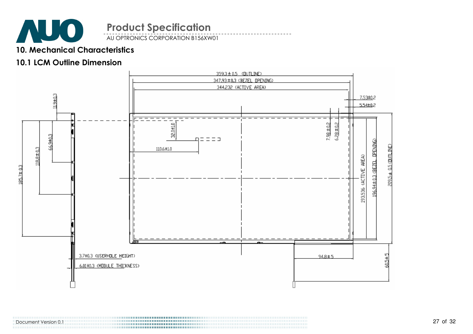

AU OPTRONICS CORPORATION B156XW01

#### 10. Mechanical Characteristics

#### 10.1 LCM Outline Dimension



Document Version 0.1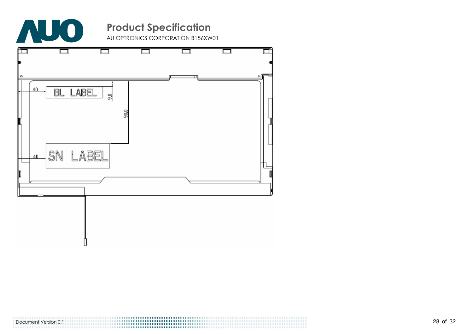

AU OPTRONICS CORPORATION B156XW01



Document Version 0.1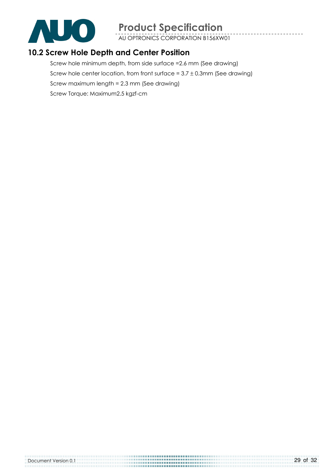

AU OPTRONICS CORPORATION B156XW01

### 10.2 Screw Hole Depth and Center Position

Screw hole minimum depth, from side surface =2.6 mm (See drawing) Screw hole center location, from front surface =  $3.7 \pm 0.3$ mm (See drawing) Screw maximum length = 2.3 mm (See drawing) Screw Torque: Maximum2.5 kgzf-cm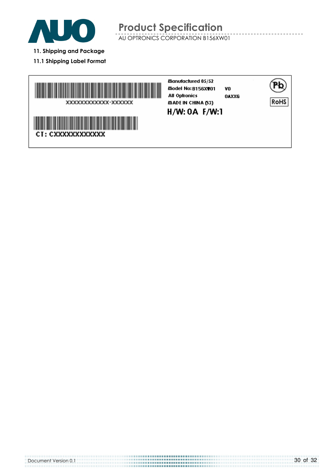

- 11. Shipping and Package
- 11.1 Shipping Label Format

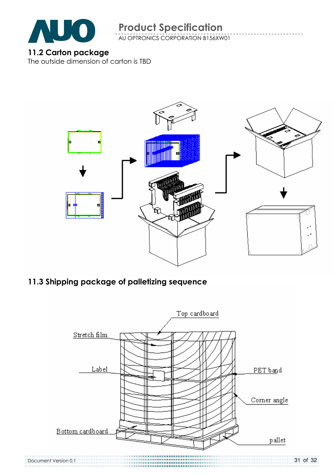

AU OPTRONICS CORPORATION B156XW01

#### 11.2 Carton package

The outside dimension of carton is TBD



# 11.3 Shipping package of palletizing sequence